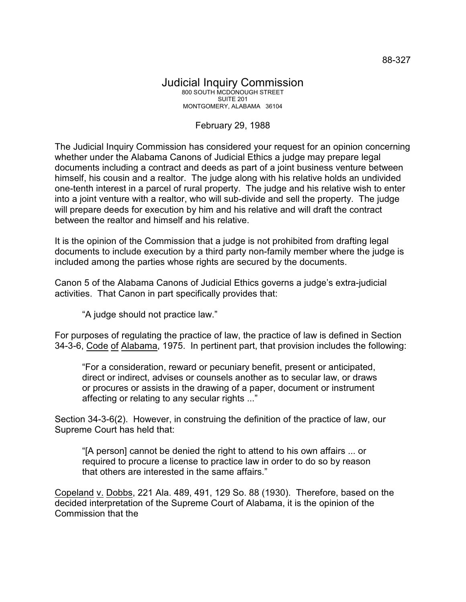## Judicial Inquiry Commission 800 SOUTH MCDONOUGH STREET SUITE 201 MONTGOMERY, ALABAMA 36104

## February 29, 1988

The Judicial Inquiry Commission has considered your request for an opinion concerning whether under the Alabama Canons of Judicial Ethics a judge may prepare legal documents including a contract and deeds as part of a joint business venture between himself, his cousin and a realtor. The judge along with his relative holds an undivided one-tenth interest in a parcel of rural property. The judge and his relative wish to enter into a joint venture with a realtor, who will sub-divide and sell the property. The judge will prepare deeds for execution by him and his relative and will draft the contract between the realtor and himself and his relative.

It is the opinion of the Commission that a judge is not prohibited from drafting legal documents to include execution by a third party non-family member where the judge is included among the parties whose rights are secured by the documents.

Canon 5 of the Alabama Canons of Judicial Ethics governs a judge's extra-judicial activities. That Canon in part specifically provides that:

"A judge should not practice law."

For purposes of regulating the practice of law, the practice of law is defined in Section 34-3-6, Code of Alabama, 1975. In pertinent part, that provision includes the following:

"For a consideration, reward or pecuniary benefit, present or anticipated, direct or indirect, advises or counsels another as to secular law, or draws or procures or assists in the drawing of a paper, document or instrument affecting or relating to any secular rights ..."

Section 34-3-6(2). However, in construing the definition of the practice of law, our Supreme Court has held that:

"[A person] cannot be denied the right to attend to his own affairs ... or required to procure a license to practice law in order to do so by reason that others are interested in the same affairs."

Copeland v. Dobbs, 221 Ala. 489, 491, 129 So. 88 (1930). Therefore, based on the decided interpretation of the Supreme Court of Alabama, it is the opinion of the Commission that the